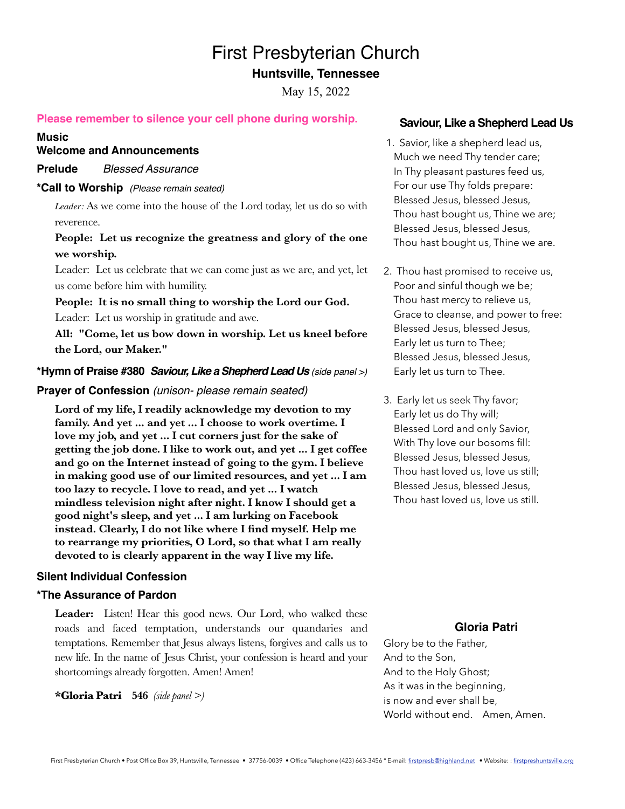# First Presbyterian Church

# **Huntsville, Tennessee**

May 15, 2022

## **Please remember to silence your cell phone during worship.**

#### **Music**

**Welcome and Announcements**

**Prelude**   *Blessed Assurance* 

#### **\*Call to Worship** *(Please remain seated)*

*Leader:* As we come into the house of the Lord today, let us do so with reverence.

# **People: Let us recognize the greatness and glory of the one we worship.**

Leader: Let us celebrate that we can come just as we are, and yet, let us come before him with humility.

**People: It is no small thing to worship the Lord our God.**  Leader: Let us worship in gratitude and awe.

**All: "Come, let us bow down in worship. Let us kneel before the Lord, our Maker."**

## **\*Hymn of Praise #380** *Saviour, Like a Shepherd Lead Us (side panel >)*

#### **Prayer of Confession** *(unison- please remain seated)*

**Lord of my life, I readily acknowledge my devotion to my family. And yet ... and yet ... I choose to work overtime. I love my job, and yet ... I cut corners just for the sake of getting the job done. I like to work out, and yet ... I get coffee and go on the Internet instead of going to the gym. I believe in making good use of our limited resources, and yet ... I am too lazy to recycle. I love to read, and yet ... I watch mindless television night after night. I know I should get a good night's sleep, and yet ... I am lurking on Facebook instead. Clearly, I do not like where I find myself. Help me to rearrange my priorities, O Lord, so that what I am really devoted to is clearly apparent in the way I live my life.**

#### **Silent Individual Confession**

#### **\*The Assurance of Pardon**

**Leader:** Listen! Hear this good news. Our Lord, who walked these roads and faced temptation, understands our quandaries and temptations. Remember that Jesus always listens, forgives and calls us to new life. In the name of Jesus Christ, your confession is heard and your shortcomings already forgotten. Amen! Amen!

 $*$ **Gloria Patri** 546 *(side panel >)* 

#### **Saviour, Like a Shepherd Lead Us**

- 1. Savior, like a shepherd lead us, Much we need Thy tender care; In Thy pleasant pastures feed us, For our use Thy folds prepare: Blessed Jesus, blessed Jesus, Thou hast bought us, Thine we are; Blessed Jesus, blessed Jesus, Thou hast bought us, Thine we are.
- 2. Thou hast promised to receive us, Poor and sinful though we be; Thou hast mercy to relieve us, Grace to cleanse, and power to free: Blessed Jesus, blessed Jesus, Early let us turn to Thee; Blessed Jesus, blessed Jesus, Early let us turn to Thee.
- 3. Early let us seek Thy favor; Early let us do Thy will; Blessed Lord and only Savior, With Thy love our bosoms fill: Blessed Jesus, blessed Jesus, Thou hast loved us, love us still; Blessed Jesus, blessed Jesus, Thou hast loved us, love us still.

#### **Gloria Patri**

Glory be to the Father, And to the Son, And to the Holy Ghost; As it was in the beginning, is now and ever shall be, World without end. Amen, Amen.